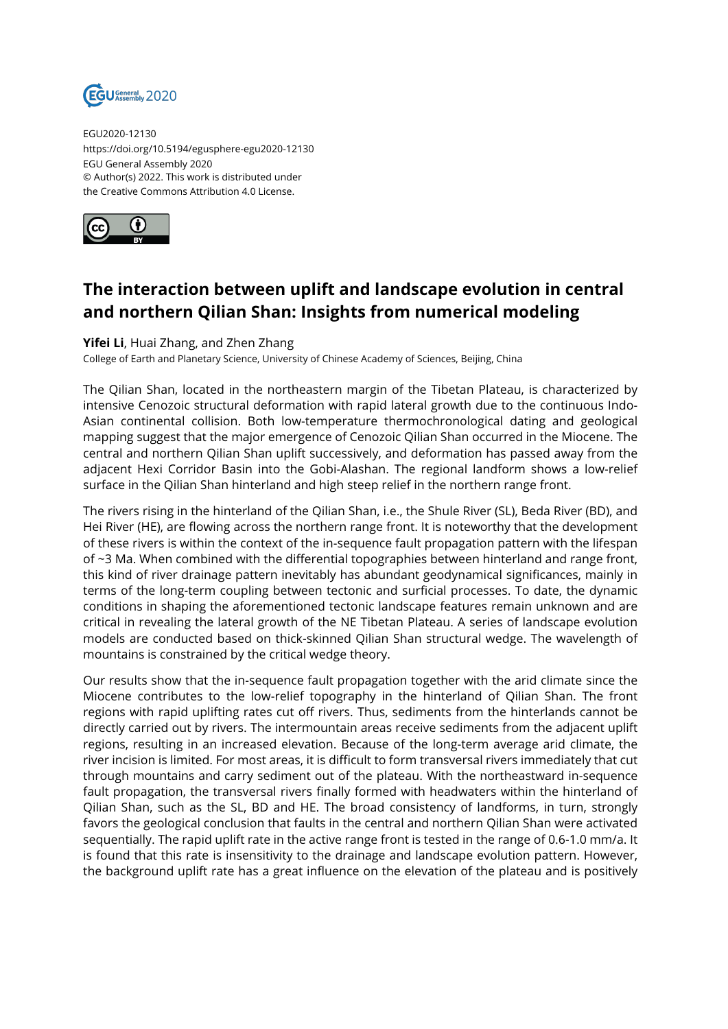

EGU2020-12130 https://doi.org/10.5194/egusphere-egu2020-12130 EGU General Assembly 2020 © Author(s) 2022. This work is distributed under the Creative Commons Attribution 4.0 License.



## **The interaction between uplift and landscape evolution in central and northern Qilian Shan: Insights from numerical modeling**

## **Yifei Li**, Huai Zhang, and Zhen Zhang

College of Earth and Planetary Science, University of Chinese Academy of Sciences, Beijing, China

The Qilian Shan, located in the northeastern margin of the Tibetan Plateau, is characterized by intensive Cenozoic structural deformation with rapid lateral growth due to the continuous Indo-Asian continental collision. Both low-temperature thermochronological dating and geological mapping suggest that the major emergence of Cenozoic Qilian Shan occurred in the Miocene. The central and northern Qilian Shan uplift successively, and deformation has passed away from the adjacent Hexi Corridor Basin into the Gobi-Alashan. The regional landform shows a low-relief surface in the Qilian Shan hinterland and high steep relief in the northern range front.

The rivers rising in the hinterland of the Qilian Shan, i.e., the Shule River (SL), Beda River (BD), and Hei River (HE), are flowing across the northern range front. It is noteworthy that the development of these rivers is within the context of the in-sequence fault propagation pattern with the lifespan of ~3 Ma. When combined with the differential topographies between hinterland and range front, this kind of river drainage pattern inevitably has abundant geodynamical significances, mainly in terms of the long-term coupling between tectonic and surficial processes. To date, the dynamic conditions in shaping the aforementioned tectonic landscape features remain unknown and are critical in revealing the lateral growth of the NE Tibetan Plateau. A series of landscape evolution models are conducted based on thick-skinned Qilian Shan structural wedge. The wavelength of mountains is constrained by the critical wedge theory.

Our results show that the in-sequence fault propagation together with the arid climate since the Miocene contributes to the low-relief topography in the hinterland of Qilian Shan. The front regions with rapid uplifting rates cut off rivers. Thus, sediments from the hinterlands cannot be directly carried out by rivers. The intermountain areas receive sediments from the adjacent uplift regions, resulting in an increased elevation. Because of the long-term average arid climate, the river incision is limited. For most areas, it is difficult to form transversal rivers immediately that cut through mountains and carry sediment out of the plateau. With the northeastward in-sequence fault propagation, the transversal rivers finally formed with headwaters within the hinterland of Qilian Shan, such as the SL, BD and HE. The broad consistency of landforms, in turn, strongly favors the geological conclusion that faults in the central and northern Qilian Shan were activated sequentially. The rapid uplift rate in the active range front is tested in the range of 0.6-1.0 mm/a. It is found that this rate is insensitivity to the drainage and landscape evolution pattern. However, the background uplift rate has a great influence on the elevation of the plateau and is positively